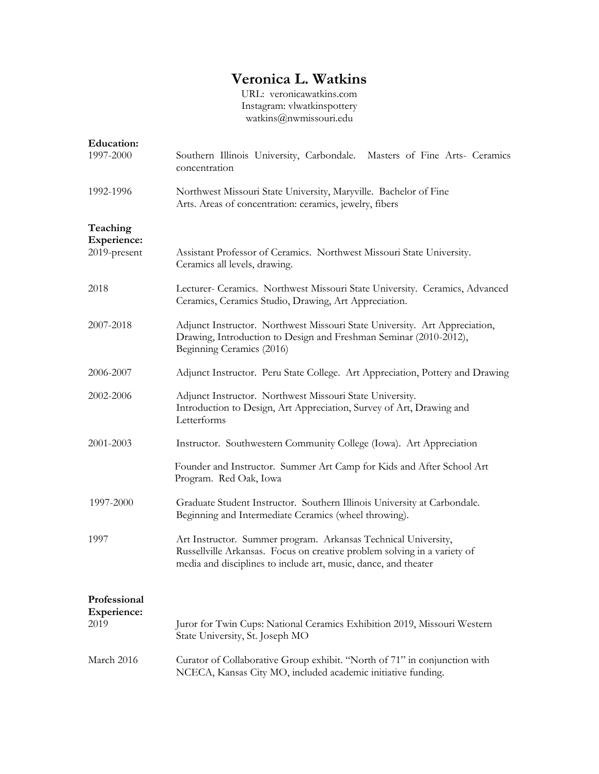## **Veronica L. Watkins**

URL: veronicawatkins.com Instagram: vlwatkinspottery watkins@nwmissouri.edu

| <b>Education:</b>                              |                                                                                                                                                                                                               |
|------------------------------------------------|---------------------------------------------------------------------------------------------------------------------------------------------------------------------------------------------------------------|
| 1997-2000                                      | Southern Illinois University, Carbondale. Masters of Fine Arts- Ceramics<br>concentration                                                                                                                     |
| 1992-1996                                      | Northwest Missouri State University, Maryville. Bachelor of Fine<br>Arts. Areas of concentration: ceramics, jewelry, fibers                                                                                   |
| Teaching<br><b>Experience:</b><br>2019-present | Assistant Professor of Ceramics. Northwest Missouri State University.<br>Ceramics all levels, drawing.                                                                                                        |
| 2018                                           | Lecturer- Ceramics. Northwest Missouri State University. Ceramics, Advanced<br>Ceramics, Ceramics Studio, Drawing, Art Appreciation.                                                                          |
| 2007-2018                                      | Adjunct Instructor. Northwest Missouri State University. Art Appreciation,<br>Drawing, Introduction to Design and Freshman Seminar (2010-2012),<br>Beginning Ceramics (2016)                                  |
| 2006-2007                                      | Adjunct Instructor. Peru State College. Art Appreciation, Pottery and Drawing                                                                                                                                 |
| 2002-2006                                      | Adjunct Instructor. Northwest Missouri State University.<br>Introduction to Design, Art Appreciation, Survey of Art, Drawing and<br>Letterforms                                                               |
| 2001-2003                                      | Instructor. Southwestern Community College (Iowa). Art Appreciation                                                                                                                                           |
|                                                | Founder and Instructor. Summer Art Camp for Kids and After School Art<br>Program. Red Oak, Iowa                                                                                                               |
| 1997-2000                                      | Graduate Student Instructor. Southern Illinois University at Carbondale.<br>Beginning and Intermediate Ceramics (wheel throwing).                                                                             |
| 1997                                           | Art Instructor. Summer program. Arkansas Technical University,<br>Russellville Arkansas. Focus on creative problem solving in a variety of<br>media and disciplines to include art, music, dance, and theater |
| Professional<br><b>Experience:</b><br>2019     | Juror for Twin Cups: National Ceramics Exhibition 2019, Missouri Western<br>State University, St. Joseph MO                                                                                                   |
| March 2016                                     | Curator of Collaborative Group exhibit. "North of 71" in conjunction with<br>NCECA, Kansas City MO, included academic initiative funding.                                                                     |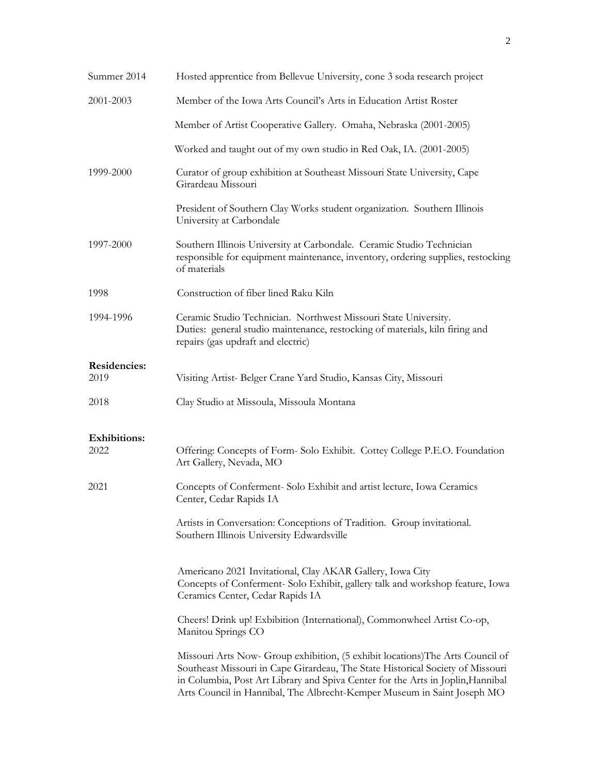| Summer 2014                 | Hosted apprentice from Bellevue University, cone 3 soda research project                                                                                                                                                                                                                                                       |
|-----------------------------|--------------------------------------------------------------------------------------------------------------------------------------------------------------------------------------------------------------------------------------------------------------------------------------------------------------------------------|
| 2001-2003                   | Member of the Iowa Arts Council's Arts in Education Artist Roster                                                                                                                                                                                                                                                              |
|                             | Member of Artist Cooperative Gallery. Omaha, Nebraska (2001-2005)                                                                                                                                                                                                                                                              |
|                             | Worked and taught out of my own studio in Red Oak, IA. (2001-2005)                                                                                                                                                                                                                                                             |
| 1999-2000                   | Curator of group exhibition at Southeast Missouri State University, Cape<br>Girardeau Missouri                                                                                                                                                                                                                                 |
|                             | President of Southern Clay Works student organization. Southern Illinois<br>University at Carbondale                                                                                                                                                                                                                           |
| 1997-2000                   | Southern Illinois University at Carbondale. Ceramic Studio Technician<br>responsible for equipment maintenance, inventory, ordering supplies, restocking<br>of materials                                                                                                                                                       |
| 1998                        | Construction of fiber lined Raku Kiln                                                                                                                                                                                                                                                                                          |
| 1994-1996                   | Ceramic Studio Technician. Northwest Missouri State University.<br>Duties: general studio maintenance, restocking of materials, kiln firing and<br>repairs (gas updraft and electric)                                                                                                                                          |
| Residencies:                |                                                                                                                                                                                                                                                                                                                                |
| 2019                        | Visiting Artist- Belger Crane Yard Studio, Kansas City, Missouri                                                                                                                                                                                                                                                               |
| 2018                        | Clay Studio at Missoula, Missoula Montana                                                                                                                                                                                                                                                                                      |
| <b>Exhibitions:</b><br>2022 | Offering: Concepts of Form-Solo Exhibit. Cottey College P.E.O. Foundation<br>Art Gallery, Nevada, MO                                                                                                                                                                                                                           |
| 2021                        | Concepts of Conferment-Solo Exhibit and artist lecture, Iowa Ceramics<br>Center, Cedar Rapids IA                                                                                                                                                                                                                               |
|                             | Artists in Conversation: Conceptions of Tradition. Group invitational.<br>Southern Illinois University Edwardsville                                                                                                                                                                                                            |
|                             | Americano 2021 Invitational, Clay AKAR Gallery, Iowa City<br>Concepts of Conferment- Solo Exhibit, gallery talk and workshop feature, Iowa<br>Ceramics Center, Cedar Rapids IA                                                                                                                                                 |
|                             | Cheers! Drink up! Exbibition (International), Commonwheel Artist Co-op,<br>Manitou Springs CO                                                                                                                                                                                                                                  |
|                             | Missouri Arts Now- Group exhibition, (5 exhibit locations) The Arts Council of<br>Southeast Missouri in Cape Girardeau, The State Historical Society of Missouri<br>in Columbia, Post Art Library and Spiva Center for the Arts in Joplin, Hannibal<br>Arts Council in Hannibal, The Albrecht-Kemper Museum in Saint Joseph MO |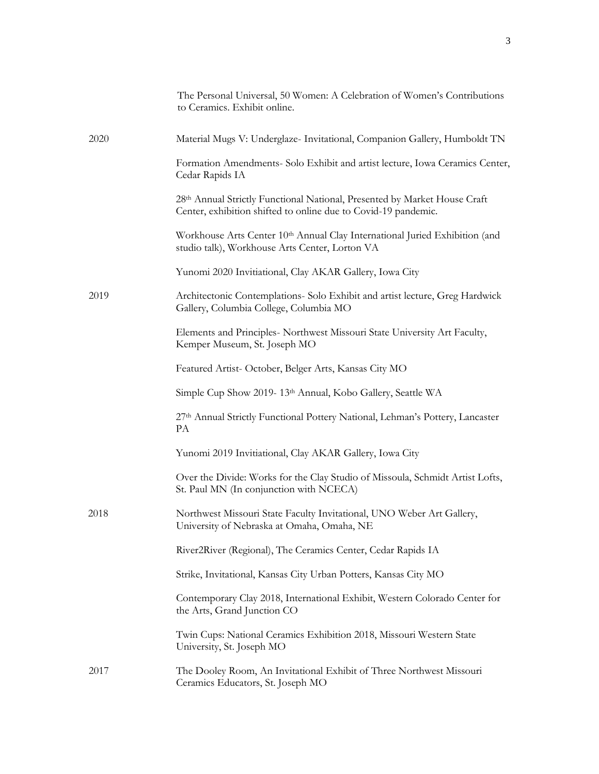|      | The Personal Universal, 50 Women: A Celebration of Women's Contributions<br>to Ceramics. Exhibit online.                                    |
|------|---------------------------------------------------------------------------------------------------------------------------------------------|
| 2020 | Material Mugs V: Underglaze- Invitational, Companion Gallery, Humboldt TN                                                                   |
|      | Formation Amendments- Solo Exhibit and artist lecture, Iowa Ceramics Center,<br>Cedar Rapids IA                                             |
|      | 28th Annual Strictly Functional National, Presented by Market House Craft<br>Center, exhibition shifted to online due to Covid-19 pandemic. |
|      | Workhouse Arts Center 10th Annual Clay International Juried Exhibition (and<br>studio talk), Workhouse Arts Center, Lorton VA               |
|      | Yunomi 2020 Invitiational, Clay AKAR Gallery, Iowa City                                                                                     |
| 2019 | Architectonic Contemplations- Solo Exhibit and artist lecture, Greg Hardwick<br>Gallery, Columbia College, Columbia MO                      |
|      | Elements and Principles- Northwest Missouri State University Art Faculty,<br>Kemper Museum, St. Joseph MO                                   |
|      | Featured Artist-October, Belger Arts, Kansas City MO                                                                                        |
|      | Simple Cup Show 2019-13th Annual, Kobo Gallery, Seattle WA                                                                                  |
|      | 27th Annual Strictly Functional Pottery National, Lehman's Pottery, Lancaster<br>PA                                                         |
|      | Yunomi 2019 Invitiational, Clay AKAR Gallery, Iowa City                                                                                     |
|      | Over the Divide: Works for the Clay Studio of Missoula, Schmidt Artist Lofts,<br>St. Paul MN (In conjunction with NCECA)                    |
| 2018 | Northwest Missouri State Faculty Invitational, UNO Weber Art Gallery,<br>University of Nebraska at Omaha, Omaha, NE                         |
|      | River2River (Regional), The Ceramics Center, Cedar Rapids IA                                                                                |
|      | Strike, Invitational, Kansas City Urban Potters, Kansas City MO                                                                             |
|      | Contemporary Clay 2018, International Exhibit, Western Colorado Center for<br>the Arts, Grand Junction CO                                   |
|      | Twin Cups: National Ceramics Exhibition 2018, Missouri Western State<br>University, St. Joseph MO                                           |
| 2017 | The Dooley Room, An Invitational Exhibit of Three Northwest Missouri<br>Ceramics Educators, St. Joseph MO                                   |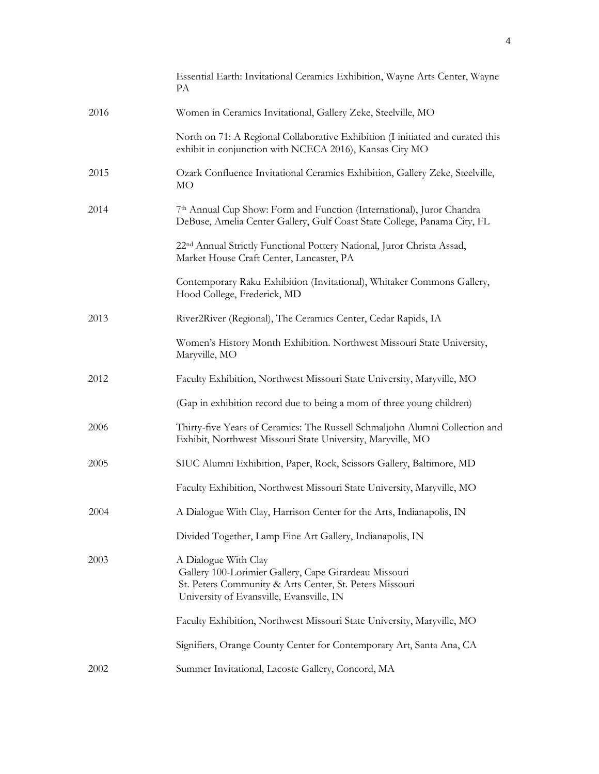|      | Essential Earth: Invitational Ceramics Exhibition, Wayne Arts Center, Wayne<br>PA                                                                                                    |
|------|--------------------------------------------------------------------------------------------------------------------------------------------------------------------------------------|
| 2016 | Women in Ceramics Invitational, Gallery Zeke, Steelville, MO                                                                                                                         |
|      | North on 71: A Regional Collaborative Exhibition (I initiated and curated this<br>exhibit in conjunction with NCECA 2016), Kansas City MO                                            |
| 2015 | Ozark Confluence Invitational Ceramics Exhibition, Gallery Zeke, Steelville,<br>MO                                                                                                   |
| 2014 | 7th Annual Cup Show: Form and Function (International), Juror Chandra<br>DeBuse, Amelia Center Gallery, Gulf Coast State College, Panama City, FL                                    |
|      | 22 <sup>nd</sup> Annual Strictly Functional Pottery National, Juror Christa Assad,<br>Market House Craft Center, Lancaster, PA                                                       |
|      | Contemporary Raku Exhibition (Invitational), Whitaker Commons Gallery,<br>Hood College, Frederick, MD                                                                                |
| 2013 | River2River (Regional), The Ceramics Center, Cedar Rapids, IA                                                                                                                        |
|      | Women's History Month Exhibition. Northwest Missouri State University,<br>Maryville, MO                                                                                              |
| 2012 | Faculty Exhibition, Northwest Missouri State University, Maryville, MO                                                                                                               |
|      | (Gap in exhibition record due to being a mom of three young children)                                                                                                                |
| 2006 | Thirty-five Years of Ceramics: The Russell Schmaljohn Alumni Collection and<br>Exhibit, Northwest Missouri State University, Maryville, MO                                           |
| 2005 | SIUC Alumni Exhibition, Paper, Rock, Scissors Gallery, Baltimore, MD                                                                                                                 |
|      | Faculty Exhibition, Northwest Missouri State University, Maryville, MO                                                                                                               |
| 2004 | A Dialogue With Clay, Harrison Center for the Arts, Indianapolis, IN                                                                                                                 |
|      | Divided Together, Lamp Fine Art Gallery, Indianapolis, IN                                                                                                                            |
| 2003 | A Dialogue With Clay<br>Gallery 100-Lorimier Gallery, Cape Girardeau Missouri<br>St. Peters Community & Arts Center, St. Peters Missouri<br>University of Evansville, Evansville, IN |
|      | Faculty Exhibition, Northwest Missouri State University, Maryville, MO                                                                                                               |
|      | Signifiers, Orange County Center for Contemporary Art, Santa Ana, CA                                                                                                                 |
| 2002 | Summer Invitational, Lacoste Gallery, Concord, MA                                                                                                                                    |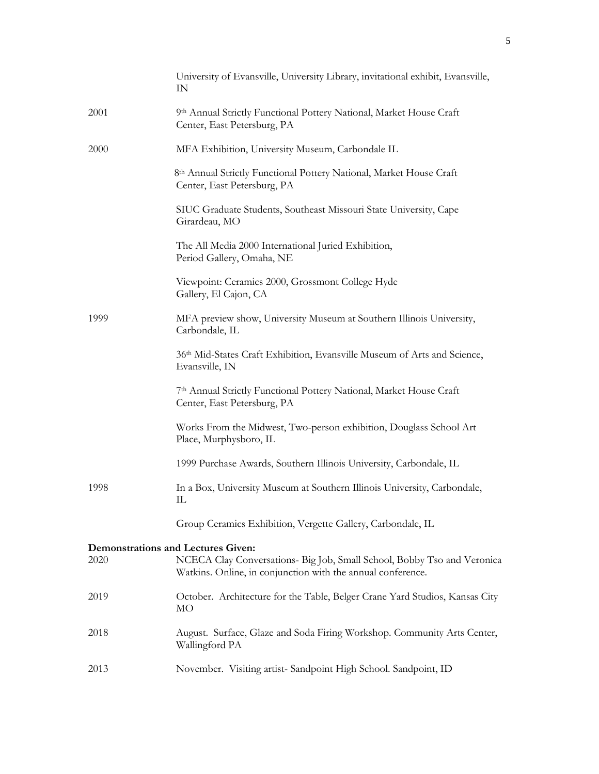|                                           | University of Evansville, University Library, invitational exhibit, Evansville,<br>IN                                                  |
|-------------------------------------------|----------------------------------------------------------------------------------------------------------------------------------------|
| 2001                                      | 9th Annual Strictly Functional Pottery National, Market House Craft<br>Center, East Petersburg, PA                                     |
| 2000                                      | MFA Exhibition, University Museum, Carbondale IL                                                                                       |
|                                           | 8th Annual Strictly Functional Pottery National, Market House Craft<br>Center, East Petersburg, PA                                     |
|                                           | SIUC Graduate Students, Southeast Missouri State University, Cape<br>Girardeau, MO                                                     |
|                                           | The All Media 2000 International Juried Exhibition,<br>Period Gallery, Omaha, NE                                                       |
|                                           | Viewpoint: Ceramics 2000, Grossmont College Hyde<br>Gallery, El Cajon, CA                                                              |
| 1999                                      | MFA preview show, University Museum at Southern Illinois University,<br>Carbondale, IL                                                 |
|                                           | 36th Mid-States Craft Exhibition, Evansville Museum of Arts and Science,<br>Evansville, IN                                             |
|                                           | 7th Annual Strictly Functional Pottery National, Market House Craft<br>Center, East Petersburg, PA                                     |
|                                           | Works From the Midwest, Two-person exhibition, Douglass School Art<br>Place, Murphysboro, IL                                           |
|                                           | 1999 Purchase Awards, Southern Illinois University, Carbondale, IL                                                                     |
| 1998                                      | In a Box, University Museum at Southern Illinois University, Carbondale,<br>Ш                                                          |
|                                           | Group Ceramics Exhibition, Vergette Gallery, Carbondale, IL                                                                            |
| <b>Demonstrations and Lectures Given:</b> |                                                                                                                                        |
| 2020                                      | NCECA Clay Conversations- Big Job, Small School, Bobby Tso and Veronica<br>Watkins. Online, in conjunction with the annual conference. |
| 2019                                      | October. Architecture for the Table, Belger Crane Yard Studios, Kansas City<br>MO                                                      |
| 2018                                      | August. Surface, Glaze and Soda Firing Workshop. Community Arts Center,<br>Wallingford PA                                              |
| 2013                                      | November. Visiting artist-Sandpoint High School. Sandpoint, ID                                                                         |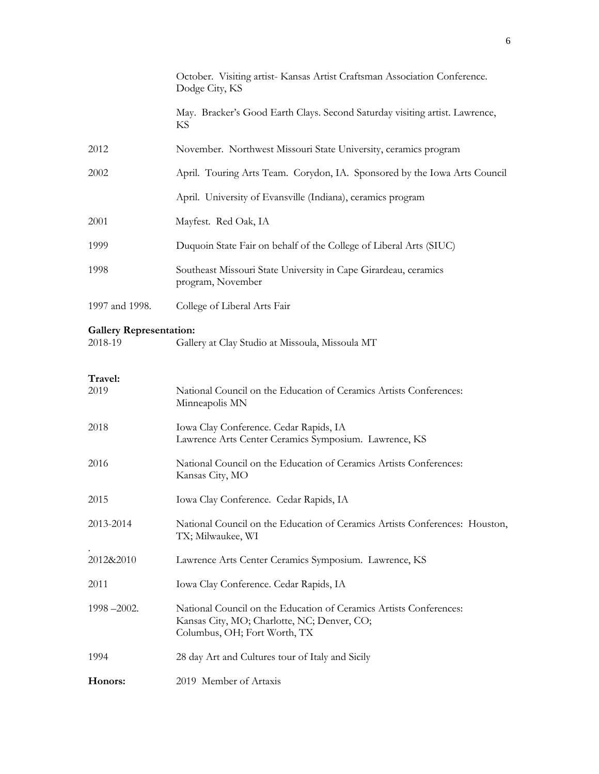|                                           | October. Visiting artist-Kansas Artist Craftsman Association Conference.<br>Dodge City, KS                                                        |
|-------------------------------------------|---------------------------------------------------------------------------------------------------------------------------------------------------|
|                                           | May. Bracker's Good Earth Clays. Second Saturday visiting artist. Lawrence,<br>KS                                                                 |
| 2012                                      | November. Northwest Missouri State University, ceramics program                                                                                   |
| 2002                                      | April. Touring Arts Team. Corydon, IA. Sponsored by the Iowa Arts Council                                                                         |
|                                           | April. University of Evansville (Indiana), ceramics program                                                                                       |
| 2001                                      | Mayfest. Red Oak, IA                                                                                                                              |
| 1999                                      | Duquoin State Fair on behalf of the College of Liberal Arts (SIUC)                                                                                |
| 1998                                      | Southeast Missouri State University in Cape Girardeau, ceramics<br>program, November                                                              |
| 1997 and 1998.                            | College of Liberal Arts Fair                                                                                                                      |
| <b>Gallery Representation:</b><br>2018-19 | Gallery at Clay Studio at Missoula, Missoula MT                                                                                                   |
| Travel:<br>2019                           | National Council on the Education of Ceramics Artists Conferences:<br>Minneapolis MN                                                              |
| 2018                                      | Iowa Clay Conference. Cedar Rapids, IA<br>Lawrence Arts Center Ceramics Symposium. Lawrence, KS                                                   |
| 2016                                      | National Council on the Education of Ceramics Artists Conferences:<br>Kansas City, MO                                                             |
| 2015                                      | Iowa Clay Conference. Cedar Rapids, IA                                                                                                            |
| 2013-2014                                 | National Council on the Education of Ceramics Artists Conferences: Houston,<br>TX; Milwaukee, WI                                                  |
| 2012&2010                                 | Lawrence Arts Center Ceramics Symposium. Lawrence, KS                                                                                             |
| 2011                                      | Iowa Clay Conference. Cedar Rapids, IA                                                                                                            |
| 1998-2002.                                | National Council on the Education of Ceramics Artists Conferences:<br>Kansas City, MO; Charlotte, NC; Denver, CO;<br>Columbus, OH; Fort Worth, TX |
| 1994                                      | 28 day Art and Cultures tour of Italy and Sicily                                                                                                  |
| Honors:                                   | 2019 Member of Artaxis                                                                                                                            |